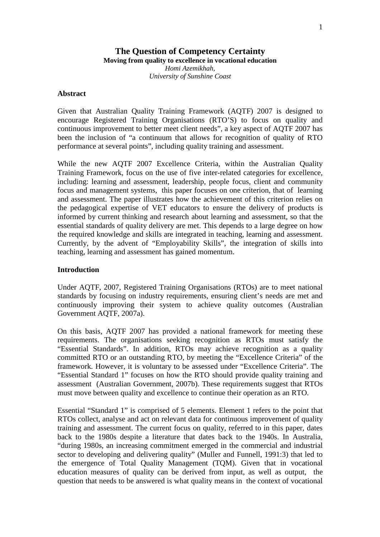## **The Question of Competency Certainty Moving from quality to excellence in vocational education**

*Homi Azemikhah, University of Sunshine Coast* 

#### **Abstract**

Given that Australian Quality Training Framework (AQTF) 2007 is designed to encourage Registered Training Organisations (RTO'S) to focus on quality and continuous improvement to better meet client needs", a key aspect of AQTF 2007 has been the inclusion of "a continuum that allows for recognition of quality of RTO performance at several points", including quality training and assessment.

While the new AQTF 2007 Excellence Criteria, within the Australian Quality Training Framework, focus on the use of five inter-related categories for excellence, including: learning and assessment, leadership, people focus, client and community focus and management systems, this paper focuses on one criterion, that of learning and assessment. The paper illustrates how the achievement of this criterion relies on the pedagogical expertise of VET educators to ensure the delivery of products is informed by current thinking and research about learning and assessment, so that the essential standards of quality delivery are met. This depends to a large degree on how the required knowledge and skills are integrated in teaching, learning and assessment. Currently, by the advent of "Employability Skills", the integration of skills into teaching, learning and assessment has gained momentum.

## **Introduction**

Under AQTF, 2007, Registered Training Organisations (RTOs) are to meet national standards by focusing on industry requirements, ensuring client's needs are met and continuously improving their system to achieve quality outcomes (Australian Government AQTF, 2007a).

On this basis, AQTF 2007 has provided a national framework for meeting these requirements. The organisations seeking recognition as RTOs must satisfy the "Essential Standards". In addition, RTOs may achieve recognition as a quality committed RTO or an outstanding RTO, by meeting the "Excellence Criteria" of the framework. However, it is voluntary to be assessed under "Excellence Criteria". The "Essential Standard 1" focuses on how the RTO should provide quality training and assessment (Australian Government, 2007b). These requirements suggest that RTOs must move between quality and excellence to continue their operation as an RTO.

Essential "Standard 1" is comprised of 5 elements. Element 1 refers to the point that RTOs collect, analyse and act on relevant data for continuous improvement of quality training and assessment. The current focus on quality, referred to in this paper, dates back to the 1980s despite a literature that dates back to the 1940s. In Australia, "during 1980s, an increasing commitment emerged in the commercial and industrial sector to developing and delivering quality" (Muller and Funnell, 1991:3) that led to the emergence of Total Quality Management (TQM). Given that in vocational education measures of quality can be derived from input, as well as output, the question that needs to be answered is what quality means in the context of vocational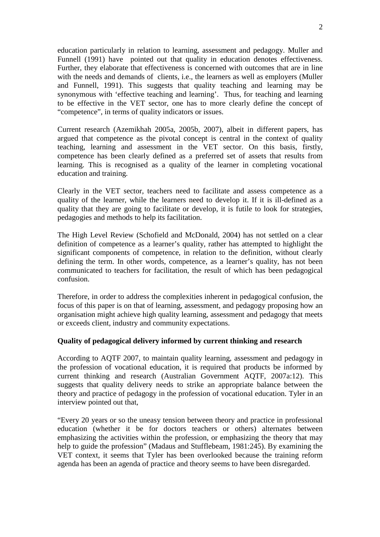education particularly in relation to learning, assessment and pedagogy. Muller and Funnell (1991) have pointed out that quality in education denotes effectiveness. Further, they elaborate that effectiveness is concerned with outcomes that are in line with the needs and demands of clients, i.e., the learners as well as employers (Muller and Funnell, 1991). This suggests that quality teaching and learning may be synonymous with 'effective teaching and learning'. Thus, for teaching and learning to be effective in the VET sector, one has to more clearly define the concept of "competence", in terms of quality indicators or issues.

Current research (Azemikhah 2005a, 2005b, 2007), albeit in different papers, has argued that competence as the pivotal concept is central in the context of quality teaching, learning and assessment in the VET sector. On this basis, firstly, competence has been clearly defined as a preferred set of assets that results from learning. This is recognised as a quality of the learner in completing vocational education and training.

Clearly in the VET sector, teachers need to facilitate and assess competence as a quality of the learner, while the learners need to develop it. If it is ill-defined as a quality that they are going to facilitate or develop, it is futile to look for strategies, pedagogies and methods to help its facilitation.

The High Level Review (Schofield and McDonald, 2004) has not settled on a clear definition of competence as a learner's quality, rather has attempted to highlight the significant components of competence, in relation to the definition, without clearly defining the term. In other words, competence, as a learner's quality, has not been communicated to teachers for facilitation, the result of which has been pedagogical confusion.

Therefore, in order to address the complexities inherent in pedagogical confusion, the focus of this paper is on that of learning, assessment, and pedagogy proposing how an organisation might achieve high quality learning, assessment and pedagogy that meets or exceeds client, industry and community expectations.

## **Quality of pedagogical delivery informed by current thinking and research**

According to AQTF 2007, to maintain quality learning, assessment and pedagogy in the profession of vocational education, it is required that products be informed by current thinking and research (Australian Government AQTF, 2007a:12). This suggests that quality delivery needs to strike an appropriate balance between the theory and practice of pedagogy in the profession of vocational education. Tyler in an interview pointed out that,

"Every 20 years or so the uneasy tension between theory and practice in professional education (whether it be for doctors teachers or others) alternates between emphasizing the activities within the profession, or emphasizing the theory that may help to guide the profession" (Madaus and Stufflebeam, 1981:245). By examining the VET context, it seems that Tyler has been overlooked because the training reform agenda has been an agenda of practice and theory seems to have been disregarded.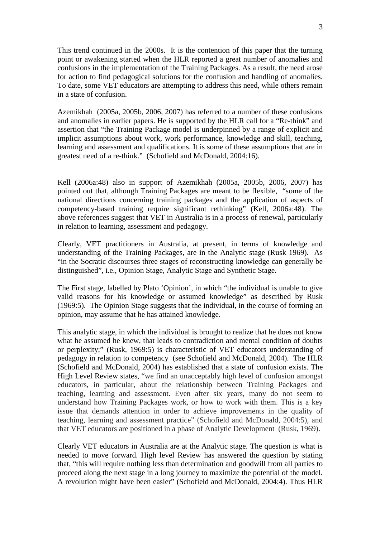This trend continued in the 2000s. It is the contention of this paper that the turning point or awakening started when the HLR reported a great number of anomalies and confusions in the implementation of the Training Packages. As a result, the need arose for action to find pedagogical solutions for the confusion and handling of anomalies. To date, some VET educators are attempting to address this need, while others remain in a state of confusion.

Azemikhah (2005a, 2005b, 2006, 2007) has referred to a number of these confusions and anomalies in earlier papers. He is supported by the HLR call for a "Re-think" and assertion that "the Training Package model is underpinned by a range of explicit and implicit assumptions about work, work performance, knowledge and skill, teaching, learning and assessment and qualifications. It is some of these assumptions that are in greatest need of a re-think." (Schofield and McDonald, 2004:16).

Kell (2006a:48) also in support of Azemikhah (2005a, 2005b, 2006, 2007) has pointed out that, although Training Packages are meant to be flexible, "some of the national directions concerning training packages and the application of aspects of competency-based training require significant rethinking" (Kell, 2006a:48). The above references suggest that VET in Australia is in a process of renewal, particularly in relation to learning, assessment and pedagogy.

Clearly, VET practitioners in Australia, at present, in terms of knowledge and understanding of the Training Packages, are in the Analytic stage (Rusk 1969). As "in the Socratic discourses three stages of reconstructing knowledge can generally be distinguished", i.e., Opinion Stage, Analytic Stage and Synthetic Stage.

The First stage, labelled by Plato 'Opinion', in which "the individual is unable to give valid reasons for his knowledge or assumed knowledge" as described by Rusk (1969:5). The Opinion Stage suggests that the individual, in the course of forming an opinion, may assume that he has attained knowledge.

This analytic stage, in which the individual is brought to realize that he does not know what he assumed he knew, that leads to contradiction and mental condition of doubts or perplexity;" (Rusk, 1969:5) is characteristic of VET educators understanding of pedagogy in relation to competency (see Schofield and McDonald, 2004). The HLR (Schofield and McDonald, 2004) has established that a state of confusion exists. The High Level Review states, "we find an unacceptably high level of confusion amongst educators, in particular, about the relationship between Training Packages and teaching, learning and assessment. Even after six years, many do not seem to understand how Training Packages work, or how to work with them. This is a key issue that demands attention in order to achieve improvements in the quality of teaching, learning and assessment practice" (Schofield and McDonald, 2004:5), and that VET educators are positioned in a phase of Analytic Development (Rusk, 1969).

Clearly VET educators in Australia are at the Analytic stage. The question is what is needed to move forward. High level Review has answered the question by stating that, "this will require nothing less than determination and goodwill from all parties to proceed along the next stage in a long journey to maximize the potential of the model. A revolution might have been easier" (Schofield and McDonald, 2004:4). Thus HLR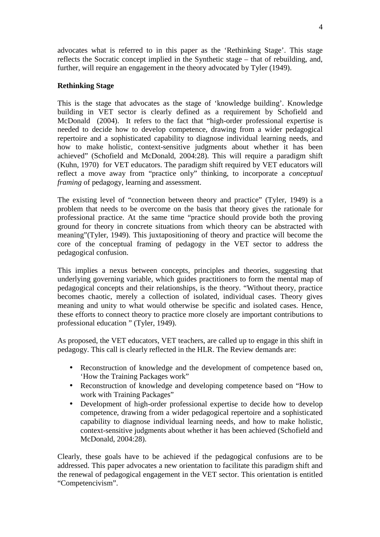advocates what is referred to in this paper as the 'Rethinking Stage'. This stage reflects the Socratic concept implied in the Synthetic stage – that of rebuilding, and, further, will require an engagement in the theory advocated by Tyler (1949).

## **Rethinking Stage**

This is the stage that advocates as the stage of 'knowledge building'. Knowledge building in VET sector is clearly defined as a requirement by Schofield and McDonald (2004). It refers to the fact that "high-order professional expertise is needed to decide how to develop competence, drawing from a wider pedagogical repertoire and a sophisticated capability to diagnose individual learning needs, and how to make holistic, context-sensitive judgments about whether it has been achieved" (Schofield and McDonald, 2004:28). This will require a paradigm shift (Kuhn, 1970) for VET educators. The paradigm shift required by VET educators will reflect a move away from "practice only" thinking, to incorporate a *conceptual framing* of pedagogy, learning and assessment.

The existing level of "connection between theory and practice" (Tyler, 1949) is a problem that needs to be overcome on the basis that theory gives the rationale for professional practice. At the same time "practice should provide both the proving ground for theory in concrete situations from which theory can be abstracted with meaning"(Tyler, 1949). This juxtapositioning of theory and practice will become the core of the conceptual framing of pedagogy in the VET sector to address the pedagogical confusion.

This implies a nexus between concepts, principles and theories, suggesting that underlying governing variable, which guides practitioners to form the mental map of pedagogical concepts and their relationships, is the theory. "Without theory, practice becomes chaotic, merely a collection of isolated, individual cases. Theory gives meaning and unity to what would otherwise be specific and isolated cases. Hence, these efforts to connect theory to practice more closely are important contributions to professional education " (Tyler, 1949).

As proposed, the VET educators, VET teachers, are called up to engage in this shift in pedagogy. This call is clearly reflected in the HLR. The Review demands are:

- Reconstruction of knowledge and the development of competence based on, 'How the Training Packages work"
- Reconstruction of knowledge and developing competence based on "How to work with Training Packages"
- Development of high-order professional expertise to decide how to develop competence, drawing from a wider pedagogical repertoire and a sophisticated capability to diagnose individual learning needs, and how to make holistic, context-sensitive judgments about whether it has been achieved (Schofield and McDonald, 2004:28).

Clearly, these goals have to be achieved if the pedagogical confusions are to be addressed. This paper advocates a new orientation to facilitate this paradigm shift and the renewal of pedagogical engagement in the VET sector. This orientation is entitled "Competencivism".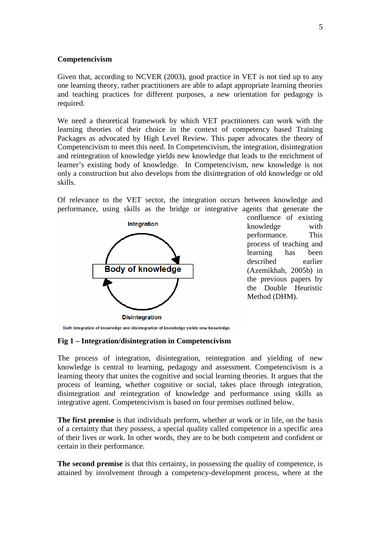### **Competencivism**

Given that, according to NCVER (2003), good practice in VET is not tied up to any one learning theory, rather practitioners are able to adapt appropriate learning theories and teaching practices for different purposes, a new orientation for pedagogy is required.

We need a theoretical framework by which VET practitioners can work with the learning theories of their choice in the context of competency based Training Packages as advocated by High Level Review. This paper advocates the theory of Competencivism to meet this need. In Competencivism, the integration, disintegration and reintegration of knowledge yields new knowledge that leads to the enrichment of learner's existing body of knowledge. In Competencivism, new knowledge is not only a construction but also develops from the disintegration of old knowledge or old skills.

Of relevance to the VET sector, the integration occurs between knowledge and performance, using skills as the bridge or integrative agents that generate the



confluence of existing knowledge with performance. This process of teaching and learning has been described earlier (Azemikhah, 2005b) in the previous papers by the Double Heuristic Method (DHM).

Both integration of knowledge and disintegration of knowledge yields new knowledge

#### **Fig 1 – Integration/disintegration in Competencivism**

The process of integration, disintegration, reintegration and yielding of new knowledge is central to learning, pedagogy and assessment. Competencivism is a learning theory that unites the cognitive and social learning theories. It argues that the process of learning, whether cognitive or social, takes place through integration, disintegration and reintegration of knowledge and performance using skills as integrative agent. Competencivism is based on four premises outlined below.

**The first premise** is that individuals perform, whether at work or in life, on the basis of a certainty that they possess, a special quality called competence in a specific area of their lives or work. In other words, they are to be both competent and confident or certain in their performance.

**The second premise** is that this certainty, in possessing the quality of competence, is attained by involvement through a competency-development process, where at the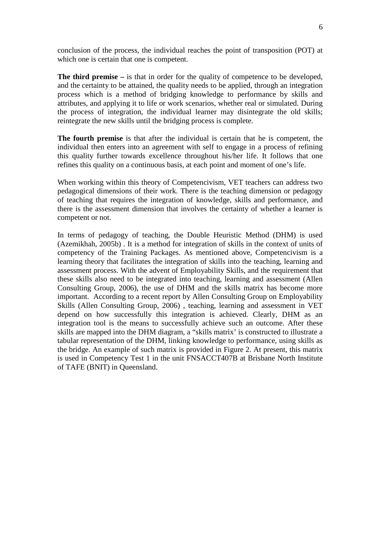conclusion of the process, the individual reaches the point of transposition (POT) at which one is certain that one is competent.

**The third premise –** is that in order for the quality of competence to be developed, and the certainty to be attained, the quality needs to be applied, through an integration process which is a method of bridging knowledge to performance by skills and attributes, and applying it to life or work scenarios, whether real or simulated. During the process of integration, the individual learner may disintegrate the old skills; reintegrate the new skills until the bridging process is complete.

**The fourth premise** is that after the individual is certain that he is competent, the individual then enters into an agreement with self to engage in a process of refining this quality further towards excellence throughout his/her life. It follows that one refines this quality on a continuous basis, at each point and moment of one's life.

When working within this theory of Competencivism, VET teachers can address two pedagogical dimensions of their work. There is the teaching dimension or pedagogy of teaching that requires the integration of knowledge, skills and performance, and there is the assessment dimension that involves the certainty of whether a learner is competent or not.

In terms of pedagogy of teaching, the Double Heuristic Method (DHM) is used (Azemikhah, 2005b) . It is a method for integration of skills in the context of units of competency of the Training Packages. As mentioned above, Competencivism is a learning theory that facilitates the integration of skills into the teaching, learning and assessment process. With the advent of Employability Skills, and the requirement that these skills also need to be integrated into teaching, learning and assessment (Allen Consulting Group, 2006), the use of DHM and the skills matrix has become more important. According to a recent report by Allen Consulting Group on Employability Skills (Allen Consulting Group, 2006) , teaching, learning and assessment in VET depend on how successfully this integration is achieved. Clearly, DHM as an integration tool is the means to successfully achieve such an outcome. After these skills are mapped into the DHM diagram, a "skills matrix' is constructed to illustrate a tabular representation of the DHM, linking knowledge to performance, using skills as the bridge. An example of such matrix is provided in Figure 2. At present, this matrix is used in Competency Test 1 in the unit FNSACCT407B at Brisbane North Institute of TAFE (BNIT) in Queensland.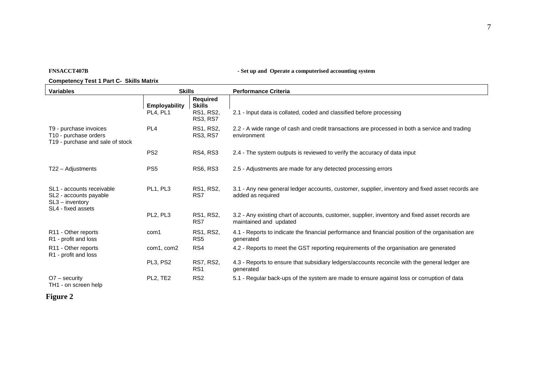**FNSACCT407B** - Set up and Operate a computerised accounting system

#### **Competency Test 1 Part C- Skills Matrix**

| <b>Variables</b>                                                                               | <b>Skills</b>                     |                                                           | <b>Performance Criteria</b>                                                                                               |
|------------------------------------------------------------------------------------------------|-----------------------------------|-----------------------------------------------------------|---------------------------------------------------------------------------------------------------------------------------|
|                                                                                                | <b>Employability</b><br>PL4. PL1  | Required<br><b>Skills</b><br>RS1, RS2,<br><b>RS3, RS7</b> | 2.1 - Input data is collated, coded and classified before processing                                                      |
| T9 - purchase invoices<br>T10 - purchase orders<br>T19 - purchase and sale of stock            | PL <sub>4</sub>                   | RS1, RS2,<br><b>RS3, RS7</b>                              | 2.2 - A wide range of cash and credit transactions are processed in both a service and trading<br>environment             |
|                                                                                                | PS <sub>2</sub>                   | <b>RS4, RS3</b>                                           | 2.4 - The system outputs is reviewed to verify the accuracy of data input                                                 |
| $T22 -$ Adjustments                                                                            | PS <sub>5</sub>                   | <b>RS6, RS3</b>                                           | 2.5 - Adjustments are made for any detected processing errors                                                             |
| SL1 - accounts receivable<br>SL2 - accounts payable<br>$SL3 -$ inventory<br>SL4 - fixed assets | PL1, PL3                          | RS1, RS2,<br>RS7                                          | 3.1 - Any new general ledger accounts, customer, supplier, inventory and fixed asset records are<br>added as required     |
|                                                                                                | PL2, PL3                          | RS1, RS2,<br>RS7                                          | 3.2 - Any existing chart of accounts, customer, supplier, inventory and fixed asset records are<br>maintained and updated |
| R <sub>11</sub> - Other reports<br>R1 - profit and loss                                        | com1                              | RS1, RS2,<br>RS <sub>5</sub>                              | 4.1 - Reports to indicate the financial performance and financial position of the organisation are<br>generated           |
| R <sub>11</sub> - Other reports<br>R1 - profit and loss                                        | com1, com2                        | RS4                                                       | 4.2 - Reports to meet the GST reporting requirements of the organisation are generated                                    |
|                                                                                                | PL3, PS2                          | RS7, RS2,<br>RS <sub>1</sub>                              | 4.3 - Reports to ensure that subsidiary ledgers/accounts reconcile with the general ledger are<br>generated               |
| $O7 -$ security<br>TH1 - on screen help                                                        | PL <sub>2</sub> , TE <sub>2</sub> | RS <sub>2</sub>                                           | 5.1 - Regular back-ups of the system are made to ensure against loss or corruption of data                                |

# **Figure 2**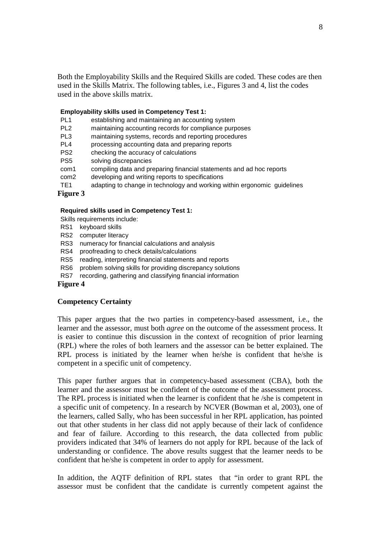Both the Employability Skills and the Required Skills are coded. These codes are then used in the Skills Matrix. The following tables, i.e., Figures 3 and 4, list the codes used in the above skills matrix.

#### **Employability skills used in Competency Test 1:**

- PL1 establishing and maintaining an accounting system
- PL2 maintaining accounting records for compliance purposes
- PL3 maintaining systems, records and reporting procedures
- PL4 processing accounting data and preparing reports
- PS2 checking the accuracy of calculations
- PS5 solving discrepancies
- com1 compiling data and preparing financial statements and ad hoc reports
- com2 developing and writing reports to specifications
- TE1 adapting to change in technology and working within ergonomic guidelines

**Figure 3** 

#### **Required skills used in Competency Test 1:**

Skills requirements include:

- RS1 keyboard skills
- RS2 computer literacy
- RS3 numeracy for financial calculations and analysis
- RS4 proofreading to check details/calculations
- RS5 reading, interpreting financial statements and reports
- RS6 problem solving skills for providing discrepancy solutions
- RS7 recording, gathering and classifying financial information

#### **Figure 4**

#### **Competency Certainty**

This paper argues that the two parties in competency-based assessment, i.e., the learner and the assessor, must both *agree* on the outcome of the assessment process. It is easier to continue this discussion in the context of recognition of prior learning (RPL) where the roles of both learners and the assessor can be better explained. The RPL process is initiated by the learner when he/she is confident that he/she is competent in a specific unit of competency.

This paper further argues that in competency-based assessment (CBA), both the learner and the assessor must be confident of the outcome of the assessment process. The RPL process is initiated when the learner is confident that he /she is competent in a specific unit of competency. In a research by NCVER (Bowman et al, 2003), one of the learners, called Sally, who has been successful in her RPL application, has pointed out that other students in her class did not apply because of their lack of confidence and fear of failure. According to this research, the data collected from public providers indicated that 34% of learners do not apply for RPL because of the lack of understanding or confidence. The above results suggest that the learner needs to be confident that he/she is competent in order to apply for assessment.

In addition, the AQTF definition of RPL states that "in order to grant RPL the assessor must be confident that the candidate is currently competent against the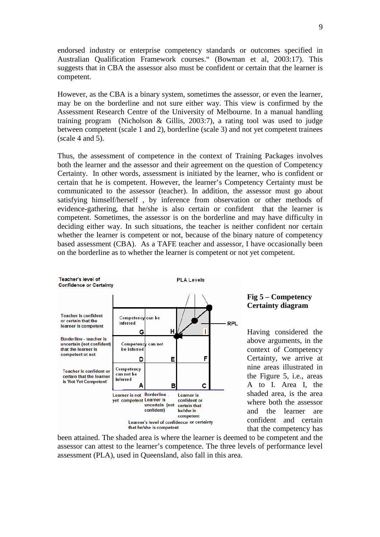endorsed industry or enterprise competency standards or outcomes specified in Australian Qualification Framework courses." (Bowman et al, 2003:17). This suggests that in CBA the assessor also must be confident or certain that the learner is competent.

However, as the CBA is a binary system, sometimes the assessor, or even the learner, may be on the borderline and not sure either way. This view is confirmed by the Assessment Research Centre of the University of Melbourne. In a manual handling training program (Nicholson & Gillis, 2003:7), a rating tool was used to judge between competent (scale 1 and 2), borderline (scale 3) and not yet competent trainees (scale 4 and 5).

Thus, the assessment of competence in the context of Training Packages involves both the learner and the assessor and their agreement on the question of Competency Certainty. In other words, assessment is initiated by the learner, who is confident or certain that he is competent. However, the learner's Competency Certainty must be communicated to the assessor (teacher). In addition, the assessor must go about satisfying himself/herself , by inference from observation or other methods of evidence-gathering, that he/she is also certain or confident that the learner is competent. Sometimes, the assessor is on the borderline and may have difficulty in deciding either way. In such situations, the teacher is neither confident nor certain whether the learner is competent or not, because of the binary nature of competency based assessment (CBA). As a TAFE teacher and assessor, I have occasionally been on the borderline as to whether the learner is competent or not yet competent.



been attained. The shaded area is where the learner is deemed to be competent and the assessor can attest to the learner's competence. The three levels of performance level assessment (PLA), used in Queensland, also fall in this area.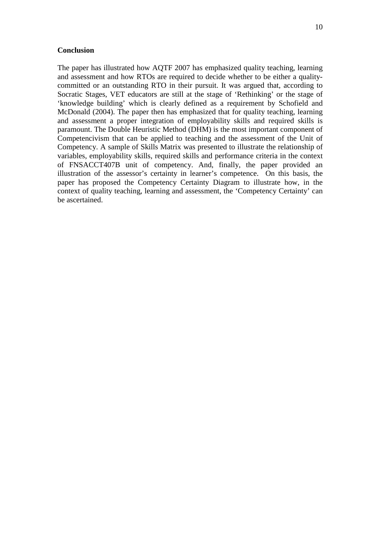#### **Conclusion**

The paper has illustrated how AQTF 2007 has emphasized quality teaching, learning and assessment and how RTOs are required to decide whether to be either a qualitycommitted or an outstanding RTO in their pursuit. It was argued that, according to Socratic Stages, VET educators are still at the stage of 'Rethinking' or the stage of 'knowledge building' which is clearly defined as a requirement by Schofield and McDonald (2004). The paper then has emphasized that for quality teaching, learning and assessment a proper integration of employability skills and required skills is paramount. The Double Heuristic Method (DHM) is the most important component of Competencivism that can be applied to teaching and the assessment of the Unit of Competency. A sample of Skills Matrix was presented to illustrate the relationship of variables, employability skills, required skills and performance criteria in the context of FNSACCT407B unit of competency. And, finally, the paper provided an illustration of the assessor's certainty in learner's competence. On this basis, the paper has proposed the Competency Certainty Diagram to illustrate how, in the context of quality teaching, learning and assessment, the 'Competency Certainty' can be ascertained.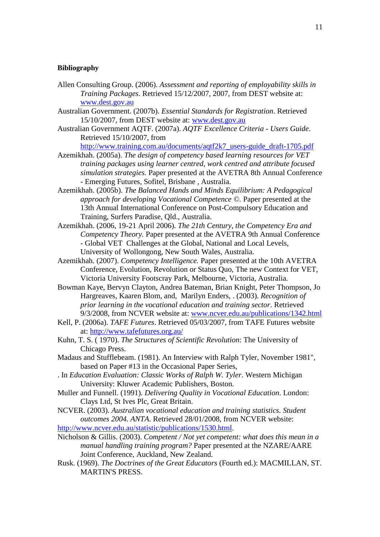#### **Bibliography**

- Allen Consulting Group. (2006). *Assessment and reporting of employability skills in Training Packages*. Retrieved 15/12/2007, 2007, from DEST website at: www.dest.gov.au
- Australian Government. (2007b). *Essential Standards for Registration*. Retrieved 15/10/2007, from DEST website at: www.dest.gov.au
- Australian Government AQTF. (2007a). *AQTF Excellence Criteria Users Guide*. Retrieved 15/10/2007, from

http://www.training.com.au/documents/aqtf2k7\_users-guide\_draft-1705.pdf

- Azemikhah. (2005a). *The design of competency based learning resources for VET training packages using learner centred, work centred and attribute focused simulation strategies.* Paper presented at the AVETRA 8th Annual Conference - Emerging Futures, Sofitel, Brisbane , Australia.
- Azemikhah. (2005b). *The Balanced Hands and Minds Equilibrium: A Pedagogical approach for developing Vocational Competence ©.* Paper presented at the 13th Annual International Conference on Post-Compulsory Education and Training, Surfers Paradise, Qld., Australia.
- Azemikhah. (2006, 19-21 April 2006). *The 21th Century, the Competency Era and Competency Theory.* Paper presented at the AVETRA 9th Annual Conference - Global VET Challenges at the Global, National and Local Levels, University of Wollongong, New South Wales, Australia.
- Azemikhah. (2007). *Competency Intelligence.* Paper presented at the 10th AVETRA Conference, Evolution, Revolution or Status Quo, The new Context for VET, Victoria University Footscray Park, Melbourne, Victoria, Australia.
- Bowman Kaye, Bervyn Clayton, Andrea Bateman, Brian Knight, Peter Thompson, Jo Hargreaves, Kaaren Blom, and, Marilyn Enders, . (2003). *Recognition of prior learning in the vocational education and training sector*. Retrieved 9/3/2008, from NCVER website at: www.ncver.edu.au/publications/1342.html
- Kell, P. (2006a). *TAFE Futures*. Retrieved 05/03/2007, from TAFE Futures website at: http://www.tafefutures.org.au/
- Kuhn, T. S. ( 1970). *The Structures of Scientific Revolution*: The University of Chicago Press.
- Madaus and Stufflebeam. (1981). An Interview with Ralph Tyler, November 1981", based on Paper #13 in the Occasional Paper Series,
- . In *Education Evaluation: Classic Works of Ralph W. Tyler*. Western Michigan University: Kluwer Academic Publishers, Boston.
- Muller and Funnell. (1991). *Delivering Quality in Vocational Education*. London: Clays Ltd, St Ives Plc, Great Britain.
- NCVER. (2003). *Australian vocational education and training statistics. Student outcomes 2004. ANTA*. Retrieved 28/01/2008, from NCVER website: http://www.ncver.edu.au/statistic/publications/1530.html.
- Nicholson & Gillis. (2003). *Competent / Not yet competent: what does this mean in a manual handling training program?* Paper presented at the NZARE/AARE Joint Conference, Auckland, New Zealand.
- Rusk. (1969). *The Doctrines of the Great Educators* (Fourth ed.): MACMILLAN, ST. MARTIN'S PRESS.